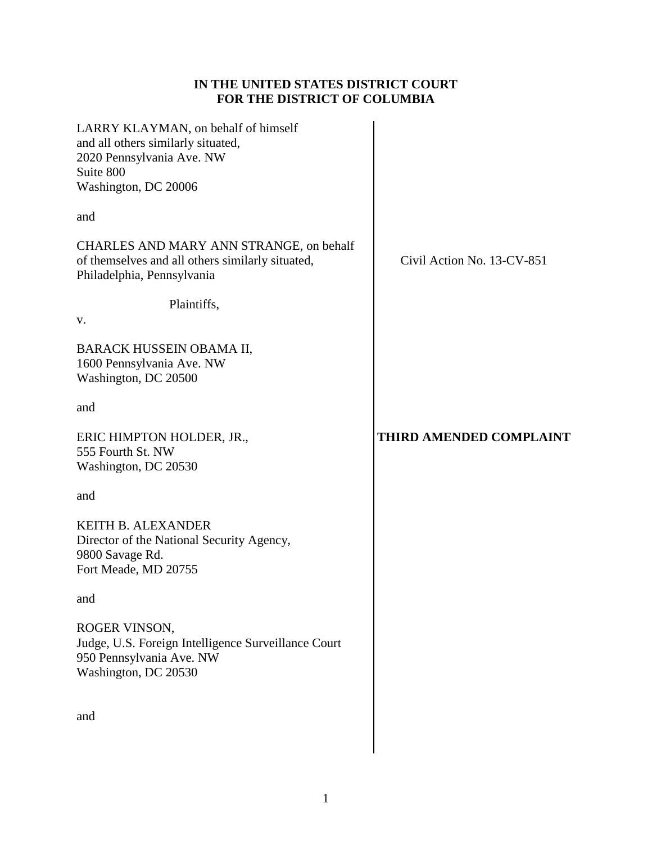# **IN THE UNITED STATES DISTRICT COURT FOR THE DISTRICT OF COLUMBIA**

| LARRY KLAYMAN, on behalf of himself<br>and all others similarly situated,<br>2020 Pennsylvania Ave. NW<br>Suite 800<br>Washington, DC 20006 |                            |
|---------------------------------------------------------------------------------------------------------------------------------------------|----------------------------|
| and                                                                                                                                         |                            |
| CHARLES AND MARY ANN STRANGE, on behalf<br>of themselves and all others similarly situated,<br>Philadelphia, Pennsylvania                   | Civil Action No. 13-CV-851 |
| Plaintiffs,<br>V.                                                                                                                           |                            |
| BARACK HUSSEIN OBAMA II,<br>1600 Pennsylvania Ave. NW<br>Washington, DC 20500                                                               |                            |
| and                                                                                                                                         |                            |
| ERIC HIMPTON HOLDER, JR.,<br>555 Fourth St. NW<br>Washington, DC 20530                                                                      | THIRD AMENDED COMPLAINT    |
| and                                                                                                                                         |                            |
| <b>KEITH B. ALEXANDER</b><br>Director of the National Security Agency,<br>9800 Savage Rd.<br>Fort Meade, MD 20755                           |                            |
| and                                                                                                                                         |                            |
| ROGER VINSON,<br>Judge, U.S. Foreign Intelligence Surveillance Court<br>950 Pennsylvania Ave. NW<br>Washington, DC 20530                    |                            |
| and                                                                                                                                         |                            |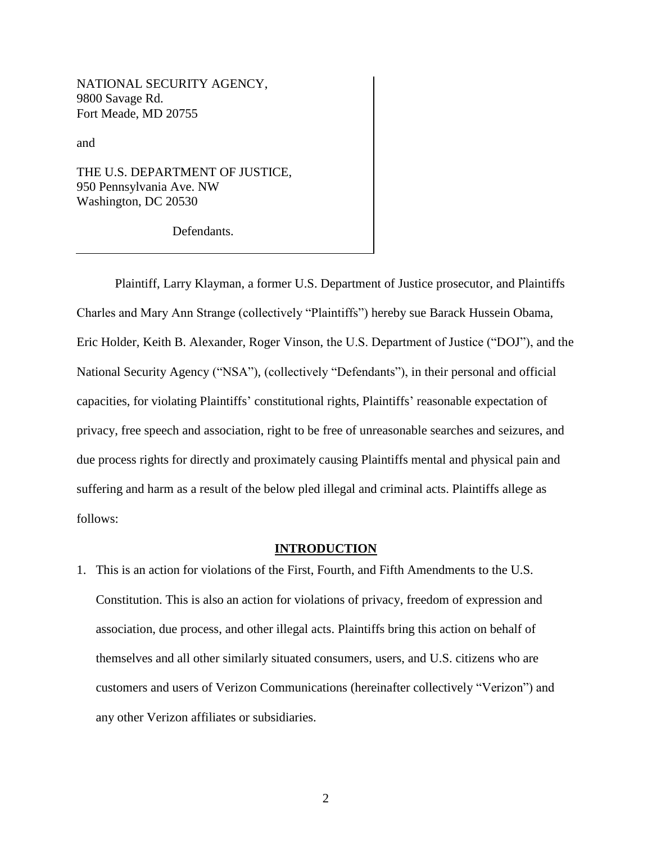NATIONAL SECURITY AGENCY, 9800 Savage Rd. Fort Meade, MD 20755

and

THE U.S. DEPARTMENT OF JUSTICE, 950 Pennsylvania Ave. NW Washington, DC 20530

Defendants.

Plaintiff, Larry Klayman, a former U.S. Department of Justice prosecutor, and Plaintiffs Charles and Mary Ann Strange (collectively "Plaintiffs") hereby sue Barack Hussein Obama, Eric Holder, Keith B. Alexander, Roger Vinson, the U.S. Department of Justice ("DOJ"), and the National Security Agency ("NSA"), (collectively "Defendants"), in their personal and official capacities, for violating Plaintiffs' constitutional rights, Plaintiffs' reasonable expectation of privacy, free speech and association, right to be free of unreasonable searches and seizures, and due process rights for directly and proximately causing Plaintiffs mental and physical pain and suffering and harm as a result of the below pled illegal and criminal acts. Plaintiffs allege as follows:

### **INTRODUCTION**

1. This is an action for violations of the First, Fourth, and Fifth Amendments to the U.S. Constitution. This is also an action for violations of privacy, freedom of expression and association, due process, and other illegal acts. Plaintiffs bring this action on behalf of themselves and all other similarly situated consumers, users, and U.S. citizens who are customers and users of Verizon Communications (hereinafter collectively "Verizon") and any other Verizon affiliates or subsidiaries.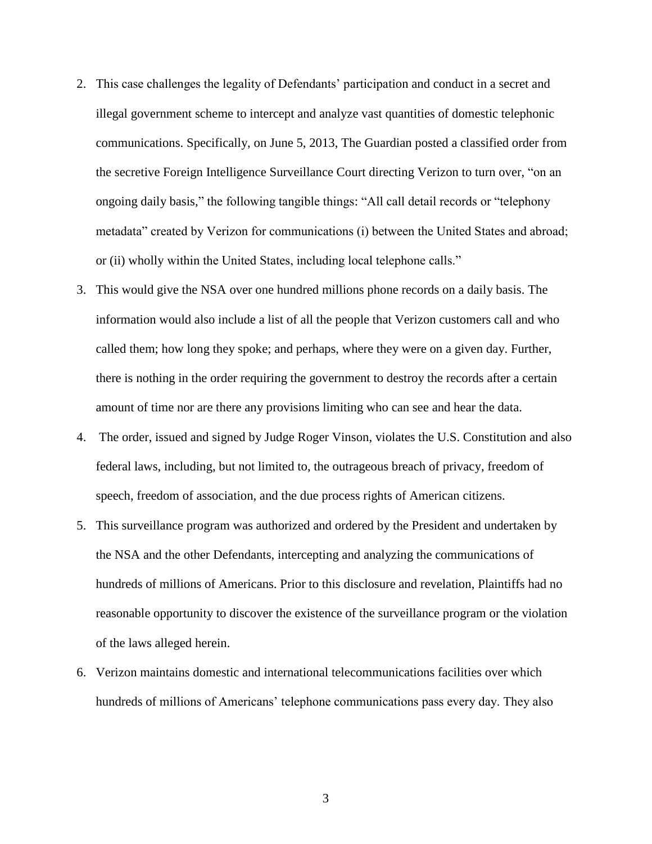- 2. This case challenges the legality of Defendants' participation and conduct in a secret and illegal government scheme to intercept and analyze vast quantities of domestic telephonic communications. Specifically, on June 5, 2013, The Guardian posted a classified order from the secretive Foreign Intelligence Surveillance Court directing Verizon to turn over, "on an ongoing daily basis," the following tangible things: "All call detail records or "telephony metadata" created by Verizon for communications (i) between the United States and abroad; or (ii) wholly within the United States, including local telephone calls."
- 3. This would give the NSA over one hundred millions phone records on a daily basis. The information would also include a list of all the people that Verizon customers call and who called them; how long they spoke; and perhaps, where they were on a given day. Further, there is nothing in the order requiring the government to destroy the records after a certain amount of time nor are there any provisions limiting who can see and hear the data.
- 4. The order, issued and signed by Judge Roger Vinson, violates the U.S. Constitution and also federal laws, including, but not limited to, the outrageous breach of privacy, freedom of speech, freedom of association, and the due process rights of American citizens.
- 5. This surveillance program was authorized and ordered by the President and undertaken by the NSA and the other Defendants, intercepting and analyzing the communications of hundreds of millions of Americans. Prior to this disclosure and revelation, Plaintiffs had no reasonable opportunity to discover the existence of the surveillance program or the violation of the laws alleged herein.
- 6. Verizon maintains domestic and international telecommunications facilities over which hundreds of millions of Americans' telephone communications pass every day. They also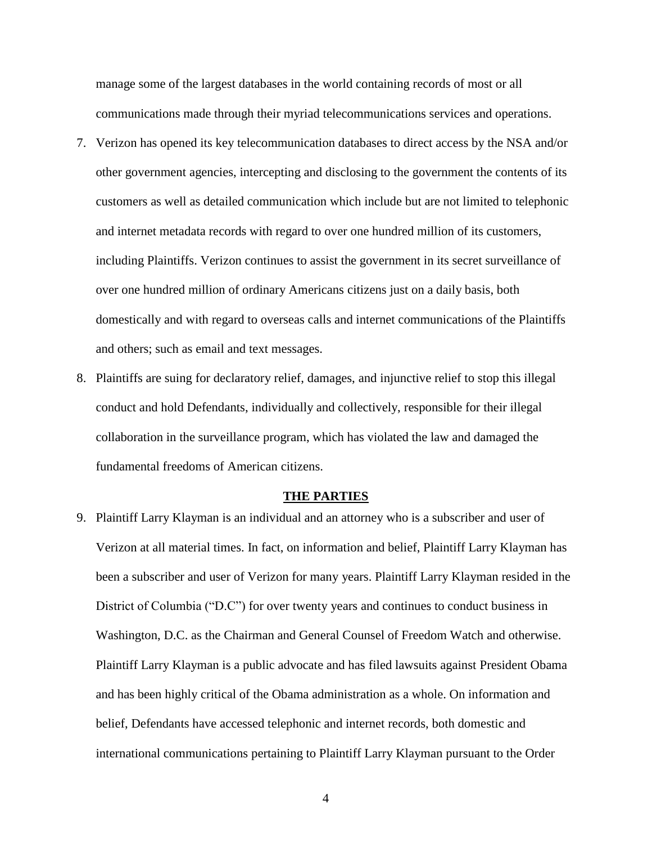manage some of the largest databases in the world containing records of most or all communications made through their myriad telecommunications services and operations.

- 7. Verizon has opened its key telecommunication databases to direct access by the NSA and/or other government agencies, intercepting and disclosing to the government the contents of its customers as well as detailed communication which include but are not limited to telephonic and internet metadata records with regard to over one hundred million of its customers, including Plaintiffs. Verizon continues to assist the government in its secret surveillance of over one hundred million of ordinary Americans citizens just on a daily basis, both domestically and with regard to overseas calls and internet communications of the Plaintiffs and others; such as email and text messages.
- 8. Plaintiffs are suing for declaratory relief, damages, and injunctive relief to stop this illegal conduct and hold Defendants, individually and collectively, responsible for their illegal collaboration in the surveillance program, which has violated the law and damaged the fundamental freedoms of American citizens.

### **THE PARTIES**

9. Plaintiff Larry Klayman is an individual and an attorney who is a subscriber and user of Verizon at all material times. In fact, on information and belief, Plaintiff Larry Klayman has been a subscriber and user of Verizon for many years. Plaintiff Larry Klayman resided in the District of Columbia ("D.C") for over twenty years and continues to conduct business in Washington, D.C. as the Chairman and General Counsel of Freedom Watch and otherwise. Plaintiff Larry Klayman is a public advocate and has filed lawsuits against President Obama and has been highly critical of the Obama administration as a whole. On information and belief, Defendants have accessed telephonic and internet records, both domestic and international communications pertaining to Plaintiff Larry Klayman pursuant to the Order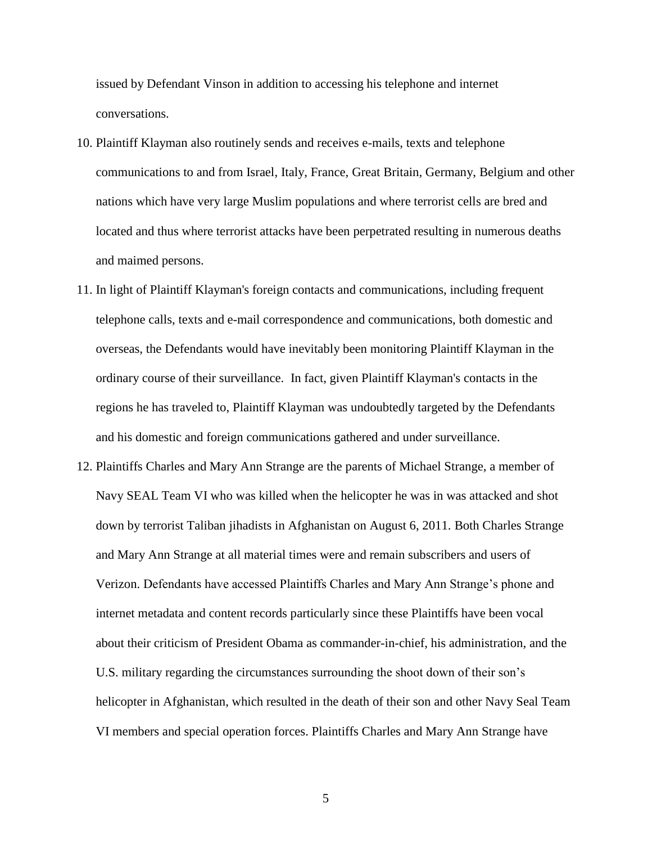issued by Defendant Vinson in addition to accessing his telephone and internet conversations.

- 10. Plaintiff Klayman also routinely sends and receives e-mails, texts and telephone communications to and from Israel, Italy, France, Great Britain, Germany, Belgium and other nations which have very large Muslim populations and where terrorist cells are bred and located and thus where terrorist attacks have been perpetrated resulting in numerous deaths and maimed persons.
- 11. In light of Plaintiff Klayman's foreign contacts and communications, including frequent telephone calls, texts and e-mail correspondence and communications, both domestic and overseas, the Defendants would have inevitably been monitoring Plaintiff Klayman in the ordinary course of their surveillance. In fact, given Plaintiff Klayman's contacts in the regions he has traveled to, Plaintiff Klayman was undoubtedly targeted by the Defendants and his domestic and foreign communications gathered and under surveillance.
- 12. Plaintiffs Charles and Mary Ann Strange are the parents of Michael Strange, a member of Navy SEAL Team VI who was killed when the helicopter he was in was attacked and shot down by terrorist Taliban jihadists in Afghanistan on August 6, 2011. Both Charles Strange and Mary Ann Strange at all material times were and remain subscribers and users of Verizon. Defendants have accessed Plaintiffs Charles and Mary Ann Strange's phone and internet metadata and content records particularly since these Plaintiffs have been vocal about their criticism of President Obama as commander-in-chief, his administration, and the U.S. military regarding the circumstances surrounding the shoot down of their son's helicopter in Afghanistan, which resulted in the death of their son and other Navy Seal Team VI members and special operation forces. Plaintiffs Charles and Mary Ann Strange have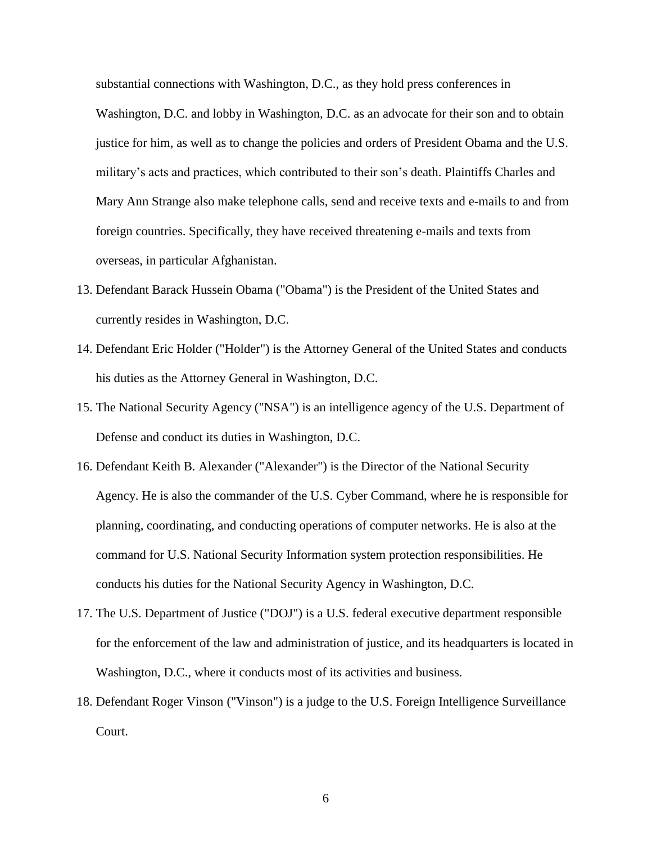substantial connections with Washington, D.C., as they hold press conferences in Washington, D.C. and lobby in Washington, D.C. as an advocate for their son and to obtain justice for him, as well as to change the policies and orders of President Obama and the U.S. military's acts and practices, which contributed to their son's death. Plaintiffs Charles and Mary Ann Strange also make telephone calls, send and receive texts and e-mails to and from foreign countries. Specifically, they have received threatening e-mails and texts from overseas, in particular Afghanistan.

- 13. Defendant Barack Hussein Obama ("Obama") is the President of the United States and currently resides in Washington, D.C.
- 14. Defendant Eric Holder ("Holder") is the Attorney General of the United States and conducts his duties as the Attorney General in Washington, D.C.
- 15. The National Security Agency ("NSA") is an intelligence agency of the U.S. Department of Defense and conduct its duties in Washington, D.C.
- 16. Defendant Keith B. Alexander ("Alexander") is the Director of the National Security Agency. He is also the commander of the U.S. Cyber Command, where he is responsible for planning, coordinating, and conducting operations of computer networks. He is also at the command for U.S. National Security Information system protection responsibilities. He conducts his duties for the National Security Agency in Washington, D.C.
- 17. The U.S. Department of Justice ("DOJ") is a U.S. federal executive department responsible for the enforcement of the law and administration of justice, and its headquarters is located in Washington, D.C., where it conducts most of its activities and business.
- 18. Defendant Roger Vinson ("Vinson") is a judge to the U.S. Foreign Intelligence Surveillance Court.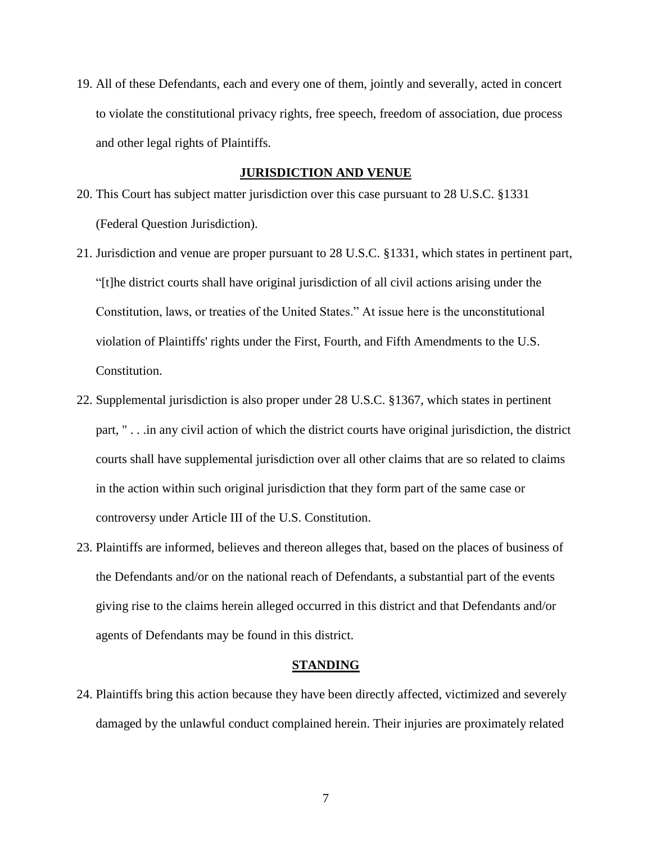19. All of these Defendants, each and every one of them, jointly and severally, acted in concert to violate the constitutional privacy rights, free speech, freedom of association, due process and other legal rights of Plaintiffs.

### **JURISDICTION AND VENUE**

- 20. This Court has subject matter jurisdiction over this case pursuant to 28 U.S.C. §1331 (Federal Question Jurisdiction).
- 21. Jurisdiction and venue are proper pursuant to 28 U.S.C. §1331, which states in pertinent part, "[t]he district courts shall have original jurisdiction of all civil actions arising under the Constitution, laws, or treaties of the United States." At issue here is the unconstitutional violation of Plaintiffs' rights under the First, Fourth, and Fifth Amendments to the U.S. Constitution.
- 22. Supplemental jurisdiction is also proper under 28 U.S.C. §1367, which states in pertinent part, " . . .in any civil action of which the district courts have original jurisdiction, the district courts shall have supplemental jurisdiction over all other claims that are so related to claims in the action within such original jurisdiction that they form part of the same case or controversy under Article III of the U.S. Constitution.
- 23. Plaintiffs are informed, believes and thereon alleges that, based on the places of business of the Defendants and/or on the national reach of Defendants, a substantial part of the events giving rise to the claims herein alleged occurred in this district and that Defendants and/or agents of Defendants may be found in this district.

### **STANDING**

24. Plaintiffs bring this action because they have been directly affected, victimized and severely damaged by the unlawful conduct complained herein. Their injuries are proximately related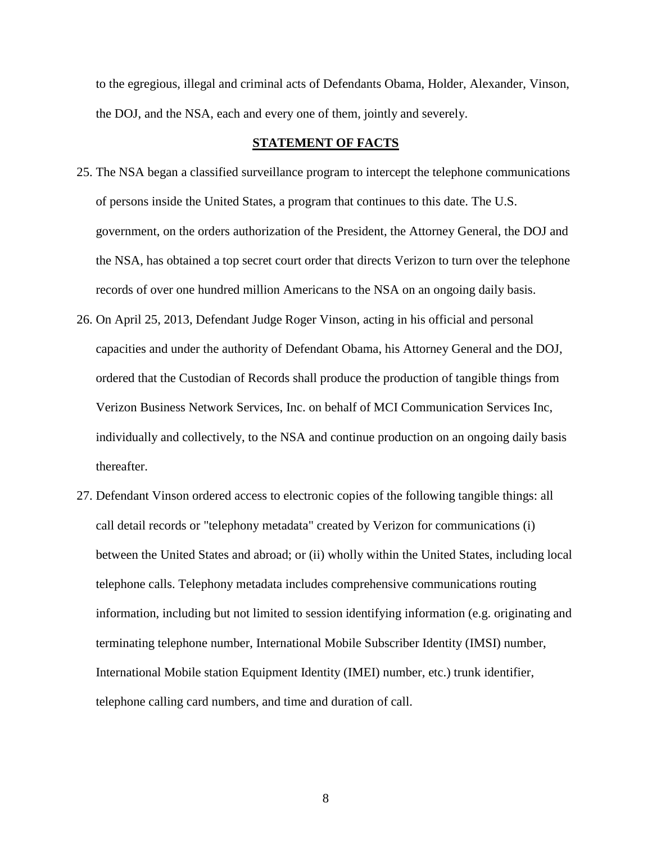to the egregious, illegal and criminal acts of Defendants Obama, Holder, Alexander, Vinson, the DOJ, and the NSA, each and every one of them, jointly and severely.

## **STATEMENT OF FACTS**

- 25. The NSA began a classified surveillance program to intercept the telephone communications of persons inside the United States, a program that continues to this date. The U.S. government, on the orders authorization of the President, the Attorney General, the DOJ and the NSA, has obtained a top secret court order that directs Verizon to turn over the telephone records of over one hundred million Americans to the NSA on an ongoing daily basis.
- 26. On April 25, 2013, Defendant Judge Roger Vinson, acting in his official and personal capacities and under the authority of Defendant Obama, his Attorney General and the DOJ, ordered that the Custodian of Records shall produce the production of tangible things from Verizon Business Network Services, Inc. on behalf of MCI Communication Services Inc, individually and collectively, to the NSA and continue production on an ongoing daily basis thereafter.
- 27. Defendant Vinson ordered access to electronic copies of the following tangible things: all call detail records or "telephony metadata" created by Verizon for communications (i) between the United States and abroad; or (ii) wholly within the United States, including local telephone calls. Telephony metadata includes comprehensive communications routing information, including but not limited to session identifying information (e.g. originating and terminating telephone number, International Mobile Subscriber Identity (IMSI) number, International Mobile station Equipment Identity (IMEI) number, etc.) trunk identifier, telephone calling card numbers, and time and duration of call.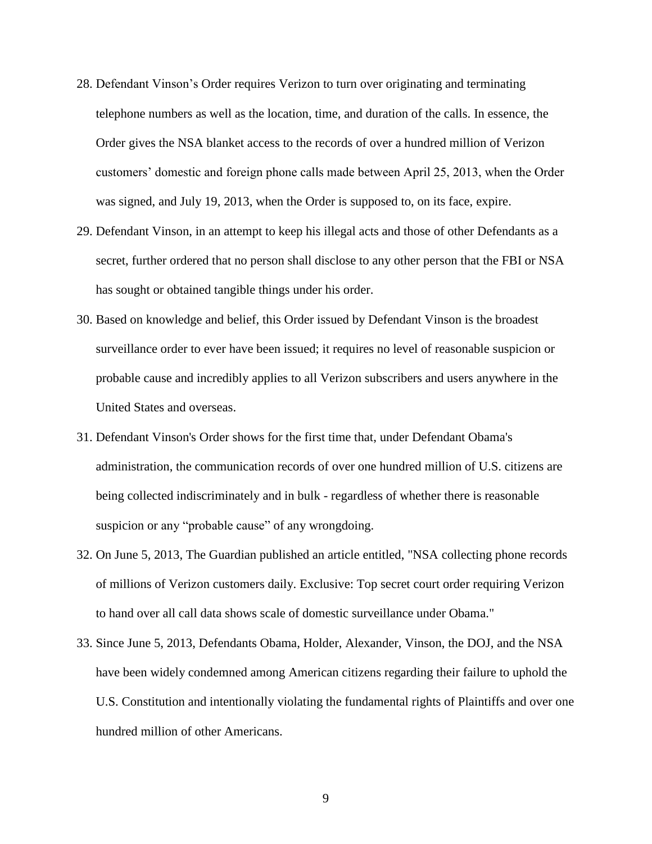- 28. Defendant Vinson's Order requires Verizon to turn over originating and terminating telephone numbers as well as the location, time, and duration of the calls. In essence, the Order gives the NSA blanket access to the records of over a hundred million of Verizon customers' domestic and foreign phone calls made between April 25, 2013, when the Order was signed, and July 19, 2013, when the Order is supposed to, on its face, expire.
- 29. Defendant Vinson, in an attempt to keep his illegal acts and those of other Defendants as a secret, further ordered that no person shall disclose to any other person that the FBI or NSA has sought or obtained tangible things under his order.
- 30. Based on knowledge and belief, this Order issued by Defendant Vinson is the broadest surveillance order to ever have been issued; it requires no level of reasonable suspicion or probable cause and incredibly applies to all Verizon subscribers and users anywhere in the United States and overseas.
- 31. Defendant Vinson's Order shows for the first time that, under Defendant Obama's administration, the communication records of over one hundred million of U.S. citizens are being collected indiscriminately and in bulk - regardless of whether there is reasonable suspicion or any "probable cause" of any wrongdoing.
- 32. On June 5, 2013, The Guardian published an article entitled, "NSA collecting phone records of millions of Verizon customers daily. Exclusive: Top secret court order requiring Verizon to hand over all call data shows scale of domestic surveillance under Obama."
- 33. Since June 5, 2013, Defendants Obama, Holder, Alexander, Vinson, the DOJ, and the NSA have been widely condemned among American citizens regarding their failure to uphold the U.S. Constitution and intentionally violating the fundamental rights of Plaintiffs and over one hundred million of other Americans.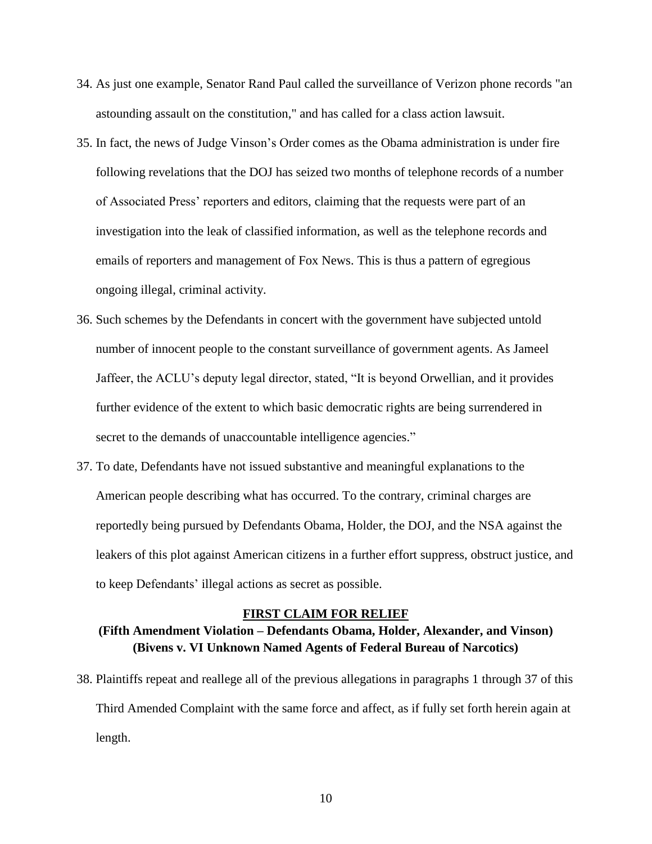- 34. As just one example, Senator Rand Paul called the surveillance of Verizon phone records "an astounding assault on the constitution," and has called for a class action lawsuit.
- 35. In fact, the news of Judge Vinson's Order comes as the Obama administration is under fire following revelations that the DOJ has seized two months of telephone records of a number of Associated Press' reporters and editors, claiming that the requests were part of an investigation into the leak of classified information, as well as the telephone records and emails of reporters and management of Fox News. This is thus a pattern of egregious ongoing illegal, criminal activity.
- 36. Such schemes by the Defendants in concert with the government have subjected untold number of innocent people to the constant surveillance of government agents. As Jameel Jaffeer, the ACLU's deputy legal director, stated, "It is beyond Orwellian, and it provides further evidence of the extent to which basic democratic rights are being surrendered in secret to the demands of unaccountable intelligence agencies."
- 37. To date, Defendants have not issued substantive and meaningful explanations to the American people describing what has occurred. To the contrary, criminal charges are reportedly being pursued by Defendants Obama, Holder, the DOJ, and the NSA against the leakers of this plot against American citizens in a further effort suppress, obstruct justice, and to keep Defendants' illegal actions as secret as possible.

#### **FIRST CLAIM FOR RELIEF**

# **(Fifth Amendment Violation – Defendants Obama, Holder, Alexander, and Vinson) (Bivens v. VI Unknown Named Agents of Federal Bureau of Narcotics)**

38. Plaintiffs repeat and reallege all of the previous allegations in paragraphs 1 through 37 of this Third Amended Complaint with the same force and affect, as if fully set forth herein again at length.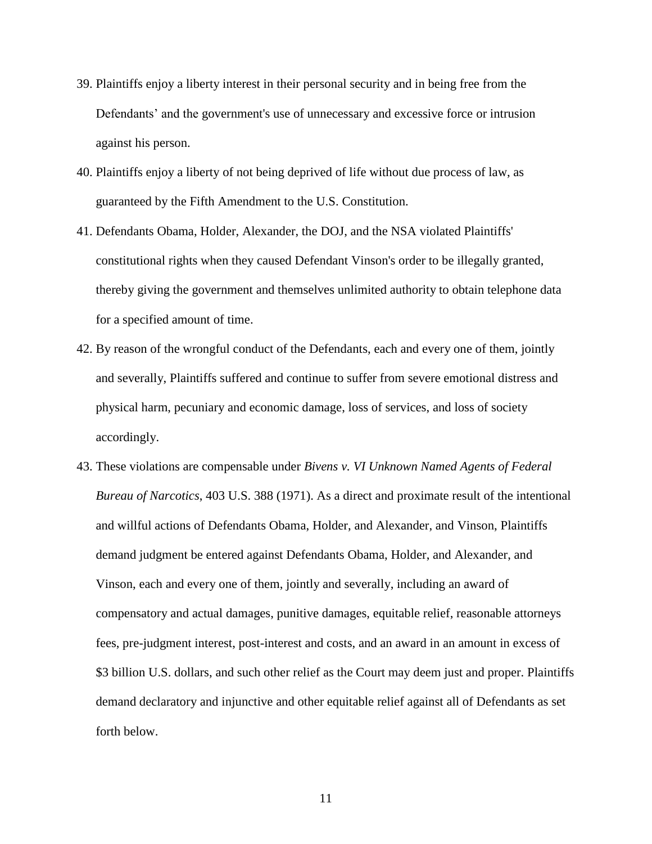- 39. Plaintiffs enjoy a liberty interest in their personal security and in being free from the Defendants' and the government's use of unnecessary and excessive force or intrusion against his person.
- 40. Plaintiffs enjoy a liberty of not being deprived of life without due process of law, as guaranteed by the Fifth Amendment to the U.S. Constitution.
- 41. Defendants Obama, Holder, Alexander, the DOJ, and the NSA violated Plaintiffs' constitutional rights when they caused Defendant Vinson's order to be illegally granted, thereby giving the government and themselves unlimited authority to obtain telephone data for a specified amount of time.
- 42. By reason of the wrongful conduct of the Defendants, each and every one of them, jointly and severally, Plaintiffs suffered and continue to suffer from severe emotional distress and physical harm, pecuniary and economic damage, loss of services, and loss of society accordingly.
- 43. These violations are compensable under *Bivens v. VI Unknown Named Agents of Federal Bureau of Narcotics*, 403 U.S. 388 (1971). As a direct and proximate result of the intentional and willful actions of Defendants Obama, Holder, and Alexander, and Vinson, Plaintiffs demand judgment be entered against Defendants Obama, Holder, and Alexander, and Vinson, each and every one of them, jointly and severally, including an award of compensatory and actual damages, punitive damages, equitable relief, reasonable attorneys fees, pre-judgment interest, post-interest and costs, and an award in an amount in excess of \$3 billion U.S. dollars, and such other relief as the Court may deem just and proper. Plaintiffs demand declaratory and injunctive and other equitable relief against all of Defendants as set forth below.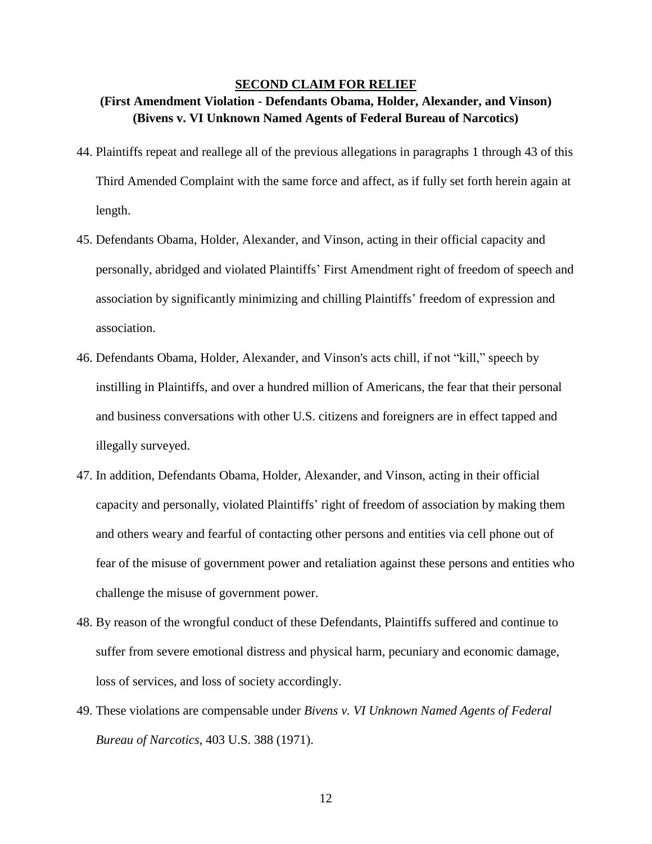### **SECOND CLAIM FOR RELIEF**

# **(First Amendment Violation - Defendants Obama, Holder, Alexander, and Vinson) (Bivens v. VI Unknown Named Agents of Federal Bureau of Narcotics)**

- 44. Plaintiffs repeat and reallege all of the previous allegations in paragraphs 1 through 43 of this Third Amended Complaint with the same force and affect, as if fully set forth herein again at length.
- 45. Defendants Obama, Holder, Alexander, and Vinson, acting in their official capacity and personally, abridged and violated Plaintiffs' First Amendment right of freedom of speech and association by significantly minimizing and chilling Plaintiffs' freedom of expression and association.
- 46. Defendants Obama, Holder, Alexander, and Vinson's acts chill, if not "kill," speech by instilling in Plaintiffs, and over a hundred million of Americans, the fear that their personal and business conversations with other U.S. citizens and foreigners are in effect tapped and illegally surveyed.
- 47. In addition, Defendants Obama, Holder, Alexander, and Vinson, acting in their official capacity and personally, violated Plaintiffs' right of freedom of association by making them and others weary and fearful of contacting other persons and entities via cell phone out of fear of the misuse of government power and retaliation against these persons and entities who challenge the misuse of government power.
- 48. By reason of the wrongful conduct of these Defendants, Plaintiffs suffered and continue to suffer from severe emotional distress and physical harm, pecuniary and economic damage, loss of services, and loss of society accordingly.
- 49. These violations are compensable under *Bivens v. VI Unknown Named Agents of Federal Bureau of Narcotics*, 403 U.S. 388 (1971).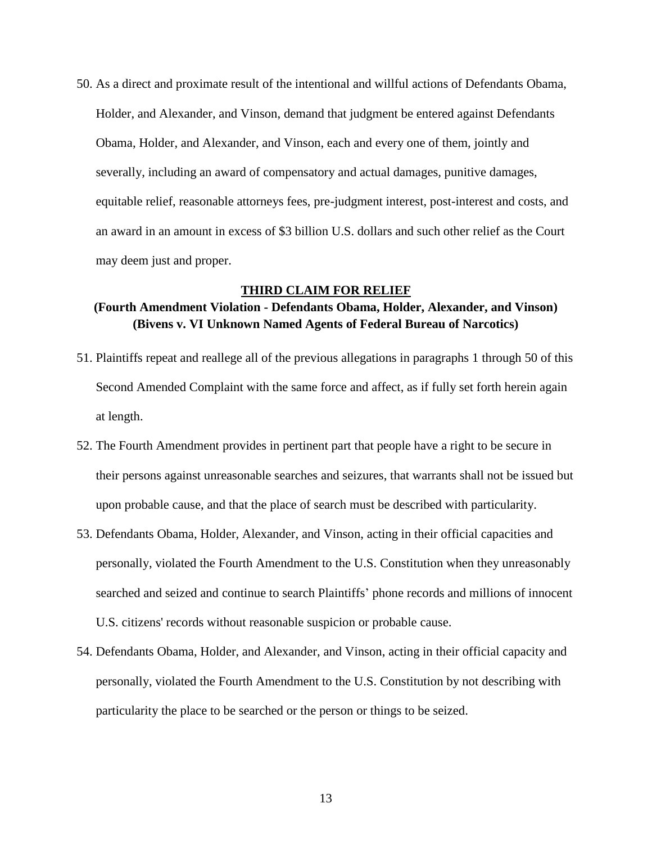50. As a direct and proximate result of the intentional and willful actions of Defendants Obama, Holder, and Alexander, and Vinson, demand that judgment be entered against Defendants Obama, Holder, and Alexander, and Vinson, each and every one of them, jointly and severally, including an award of compensatory and actual damages, punitive damages, equitable relief, reasonable attorneys fees, pre-judgment interest, post-interest and costs, and an award in an amount in excess of \$3 billion U.S. dollars and such other relief as the Court may deem just and proper.

#### **THIRD CLAIM FOR RELIEF**

## **(Fourth Amendment Violation - Defendants Obama, Holder, Alexander, and Vinson) (Bivens v. VI Unknown Named Agents of Federal Bureau of Narcotics)**

- 51. Plaintiffs repeat and reallege all of the previous allegations in paragraphs 1 through 50 of this Second Amended Complaint with the same force and affect, as if fully set forth herein again at length.
- 52. The Fourth Amendment provides in pertinent part that people have a right to be secure in their persons against unreasonable searches and seizures, that warrants shall not be issued but upon probable cause, and that the place of search must be described with particularity.
- 53. Defendants Obama, Holder, Alexander, and Vinson, acting in their official capacities and personally, violated the Fourth Amendment to the U.S. Constitution when they unreasonably searched and seized and continue to search Plaintiffs' phone records and millions of innocent U.S. citizens' records without reasonable suspicion or probable cause.
- 54. Defendants Obama, Holder, and Alexander, and Vinson, acting in their official capacity and personally, violated the Fourth Amendment to the U.S. Constitution by not describing with particularity the place to be searched or the person or things to be seized.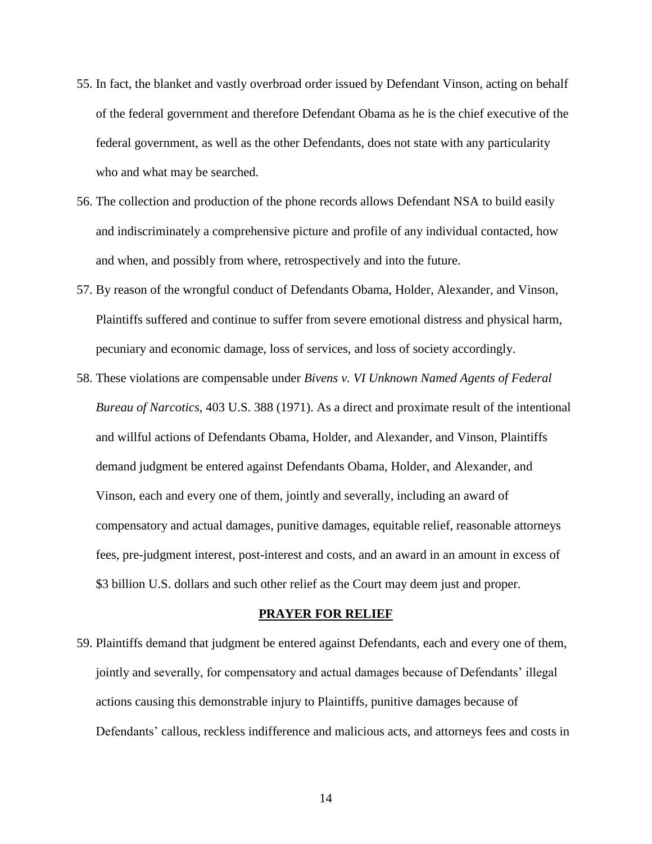- 55. In fact, the blanket and vastly overbroad order issued by Defendant Vinson, acting on behalf of the federal government and therefore Defendant Obama as he is the chief executive of the federal government, as well as the other Defendants, does not state with any particularity who and what may be searched.
- 56. The collection and production of the phone records allows Defendant NSA to build easily and indiscriminately a comprehensive picture and profile of any individual contacted, how and when, and possibly from where, retrospectively and into the future.
- 57. By reason of the wrongful conduct of Defendants Obama, Holder, Alexander, and Vinson, Plaintiffs suffered and continue to suffer from severe emotional distress and physical harm, pecuniary and economic damage, loss of services, and loss of society accordingly.
- 58. These violations are compensable under *Bivens v. VI Unknown Named Agents of Federal Bureau of Narcotics*, 403 U.S. 388 (1971). As a direct and proximate result of the intentional and willful actions of Defendants Obama, Holder, and Alexander, and Vinson, Plaintiffs demand judgment be entered against Defendants Obama, Holder, and Alexander, and Vinson, each and every one of them, jointly and severally, including an award of compensatory and actual damages, punitive damages, equitable relief, reasonable attorneys fees, pre-judgment interest, post-interest and costs, and an award in an amount in excess of \$3 billion U.S. dollars and such other relief as the Court may deem just and proper.

#### **PRAYER FOR RELIEF**

59. Plaintiffs demand that judgment be entered against Defendants, each and every one of them, jointly and severally, for compensatory and actual damages because of Defendants' illegal actions causing this demonstrable injury to Plaintiffs, punitive damages because of Defendants' callous, reckless indifference and malicious acts, and attorneys fees and costs in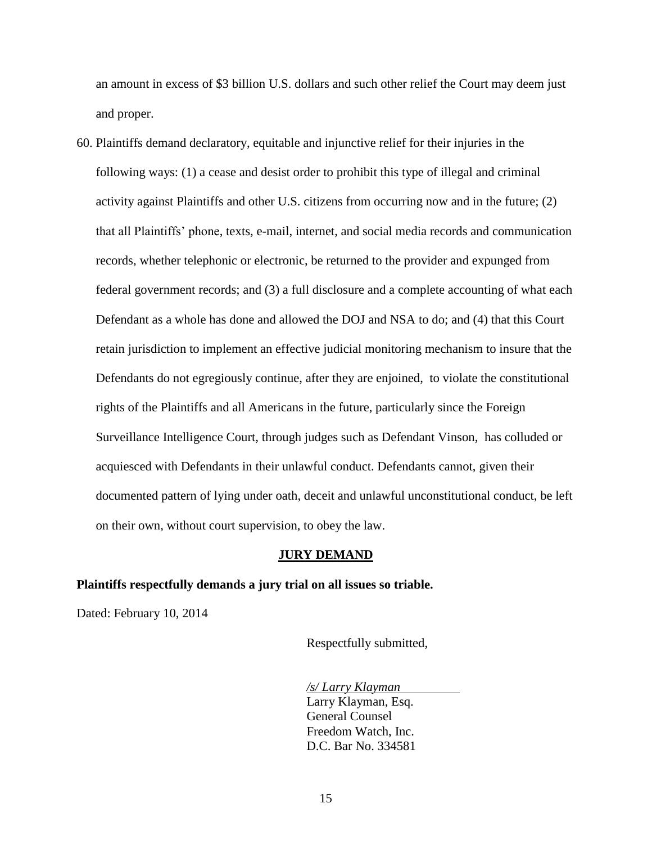an amount in excess of \$3 billion U.S. dollars and such other relief the Court may deem just and proper.

60. Plaintiffs demand declaratory, equitable and injunctive relief for their injuries in the following ways: (1) a cease and desist order to prohibit this type of illegal and criminal activity against Plaintiffs and other U.S. citizens from occurring now and in the future; (2) that all Plaintiffs' phone, texts, e-mail, internet, and social media records and communication records, whether telephonic or electronic, be returned to the provider and expunged from federal government records; and (3) a full disclosure and a complete accounting of what each Defendant as a whole has done and allowed the DOJ and NSA to do; and (4) that this Court retain jurisdiction to implement an effective judicial monitoring mechanism to insure that the Defendants do not egregiously continue, after they are enjoined, to violate the constitutional rights of the Plaintiffs and all Americans in the future, particularly since the Foreign Surveillance Intelligence Court, through judges such as Defendant Vinson, has colluded or acquiesced with Defendants in their unlawful conduct. Defendants cannot, given their documented pattern of lying under oath, deceit and unlawful unconstitutional conduct, be left on their own, without court supervision, to obey the law.

### **JURY DEMAND**

#### **Plaintiffs respectfully demands a jury trial on all issues so triable.**

Dated: February 10, 2014

Respectfully submitted,

*/s/ Larry Klayman* Larry Klayman, Esq. General Counsel Freedom Watch, Inc. D.C. Bar No. 334581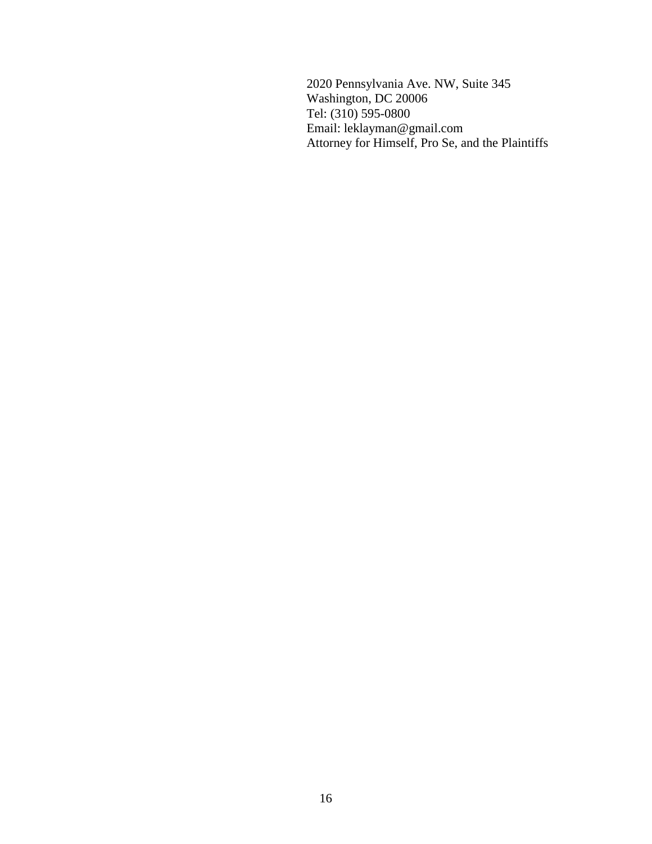2020 Pennsylvania Ave. NW, Suite 345 Washington, DC 20006 Tel: (310) 595-0800 Email: leklayman@gmail.com Attorney for Himself, Pro Se, and the Plaintiffs